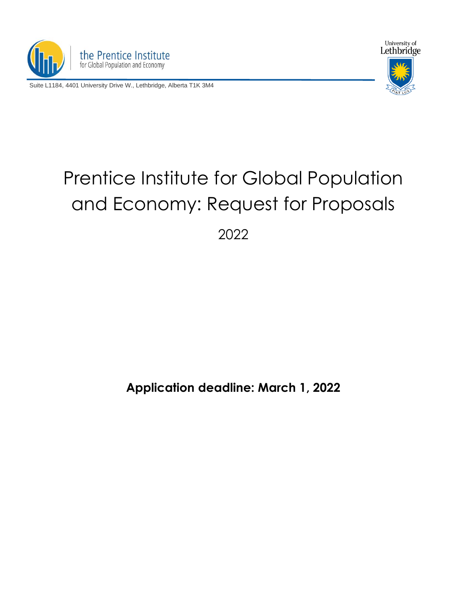

Suite L1184, 4401 University Drive W., Lethbridge, Alberta T1K 3M4



# Prentice Institute for Global Population and Economy: Request for Proposals

2022

## **Application deadline: March 1, 2022**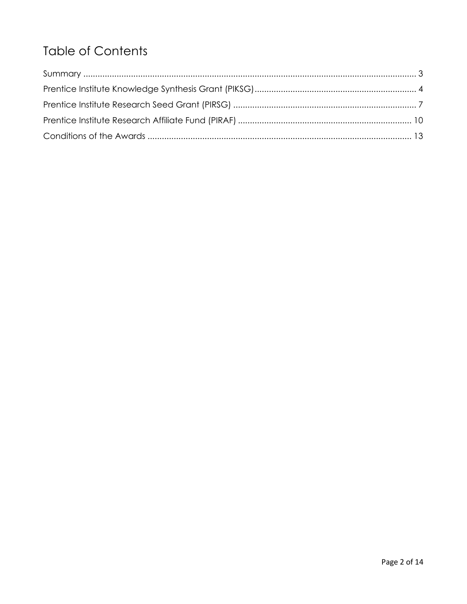# **Table of Contents**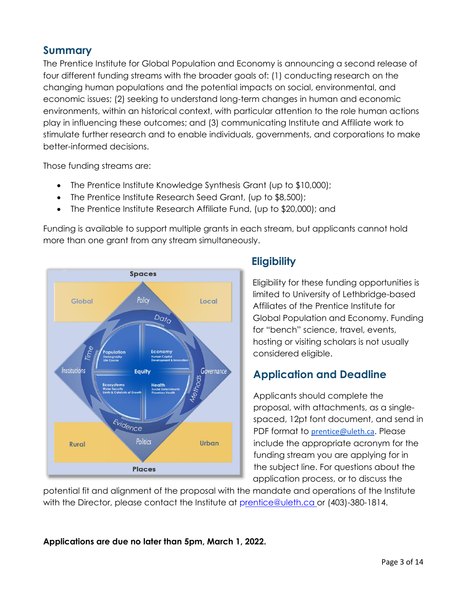### **Summary**

The Prentice Institute for Global Population and Economy is announcing a second release of four different funding streams with the broader goals of: (1) conducting research on the changing human populations and the potential impacts on social, environmental, and economic issues; (2) seeking to understand long-term changes in human and economic environments, within an historical context, with particular attention to the role human actions play in influencing these outcomes; and (3) communicating Institute and Affiliate work to stimulate further research and to enable individuals, governments, and corporations to make better-informed decisions.

Those funding streams are:

- The Prentice Institute Knowledge Synthesis Grant (up to \$10,000);
- The Prentice Institute Research Seed Grant, (up to \$8,500);
- The Prentice Institute Research Affiliate Fund, (up to \$20,000); and

Funding is available to support multiple grants in each stream, but applicants cannot hold more than one grant from any stream simultaneously.



## **Eligibility**

Eligibility for these funding opportunities is limited to University of Lethbridge-based Affiliates of the Prentice Institute for Global Population and Economy. Funding for "bench" science, travel, events, hosting or visiting scholars is not usually considered eligible.

## **Application and Deadline**

Applicants should complete the proposal, with attachments, as a singlespaced, 12pt font document, and send in PDF format to [prentice@uleth.ca](mailto:prentice@uleth.ca). Please include the appropriate acronym for the funding stream you are applying for in the subject line. For questions about the application process, or to discuss the

potential fit and alignment of the proposal with the mandate and operations of the Institute with the Director, please contact the Institute at prentice@uleth.ca or (403)-380-1814.

**Applications are due no later than 5pm, March 1, 2022.**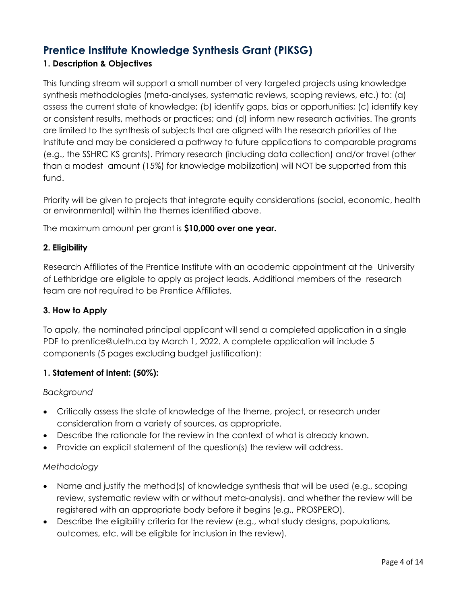## **Prentice Institute Knowledge Synthesis Grant (PIKSG)**

#### **1. Description & Objectives**

This funding stream will support a small number of very targeted projects using knowledge synthesis methodologies (meta-analyses, systematic reviews, scoping reviews, etc.) to: (a) assess the current state of knowledge; (b) identify gaps, bias or opportunities; (c) identify key or consistent results, methods or practices; and (d) inform new research activities. The grants are limited to the synthesis of subjects that are aligned with the research priorities of the Institute and may be considered a pathway to future applications to comparable programs (e.g., the SSHRC KS grants). Primary research (including data collection) and/or travel (other than a modest amount (15%) for knowledge mobilization) will NOT be supported from this fund.

Priority will be given to projects that integrate equity considerations (social, economic, health or environmental) within the themes identified above.

The maximum amount per grant is **\$10,000 over one year.**

#### **2. Eligibility**

Research Affiliates of the Prentice Institute with an academic appointment at the University of Lethbridge are eligible to apply as project leads. Additional members of the research team are not required to be Prentice Affiliates.

#### **3. How to Apply**

To apply, the nominated principal applicant will send a completed application in a single PDF to [prentice@uleth.ca](mailto:prentice@uleth.ca) by March 1, 2022. A complete application will include 5 components (5 pages excluding budget justification):

#### **1. Statement of intent: (50%):**

#### *Background*

- Critically assess the state of knowledge of the theme, project, or research under consideration from a variety of sources, as appropriate.
- Describe the rationale for the review in the context of what is already known.
- Provide an explicit statement of the question(s) the review will address.

#### *Methodology*

- Name and justify the method(s) of knowledge synthesis that will be used (e.g., scoping review, systematic review with or without meta-analysis). and whether the review will be registered with an appropriate body before it begins (e.g., PROSPERO).
- Describe the eligibility criteria for the review (e.g., what study designs, populations, outcomes, etc. will be eligible for inclusion in the review).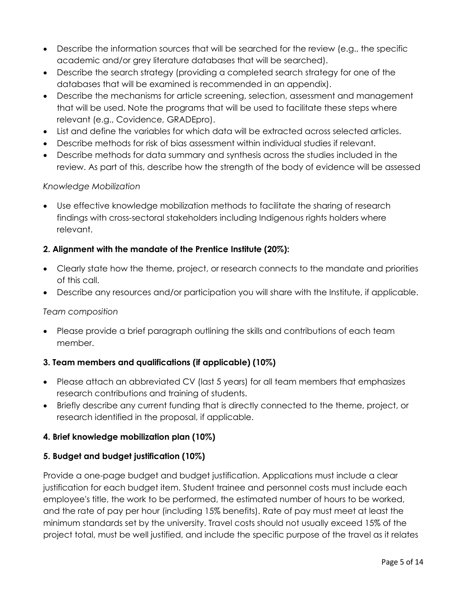- Describe the information sources that will be searched for the review (e.g., the specific academic and/or grey literature databases that will be searched).
- Describe the search strategy (providing a completed search strategy for one of the databases that will be examined is recommended in an appendix).
- Describe the mechanisms for article screening, selection, assessment and management that will be used. Note the programs that will be used to facilitate these steps where relevant (e.g., Covidence, GRADEpro).
- List and define the variables for which data will be extracted across selected articles.
- Describe methods for risk of bias assessment within individual studies if relevant.
- Describe methods for data summary and synthesis across the studies included in the review. As part of this, describe how the strength of the body of evidence will be assessed

#### *Knowledge Mobilization*

• Use effective knowledge mobilization methods to facilitate the sharing of research findings with cross-sectoral stakeholders including Indigenous rights holders where relevant.

#### **2. Alignment with the mandate of the Prentice Institute (20%):**

- Clearly state how the theme, project, or research connects to the mandate and priorities of this call.
- Describe any resources and/or participation you will share with the Institute, if applicable.

#### *Team composition*

• Please provide a brief paragraph outlining the skills and contributions of each team member.

#### **3. Team members and qualifications (if applicable) (10%)**

- Please attach an abbreviated CV (last 5 years) for all team members that emphasizes research contributions and training of students.
- Briefly describe any current funding that is directly connected to the theme, project, or research identified in the proposal, if applicable.

#### **4. Brief knowledge mobilization plan (10%)**

#### **5. Budget and budget justification (10%)**

Provide a one-page budget and budget justification. Applications must include a clear justification for each budget item. Student trainee and personnel costs must include each employee's title, the work to be performed, the estimated number of hours to be worked, and the rate of pay per hour (including 15% benefits). Rate of pay must meet at least the minimum standards set by the university. Travel costs should not usually exceed 15% of the project total, must be well justified, and include the specific purpose of the travel as it relates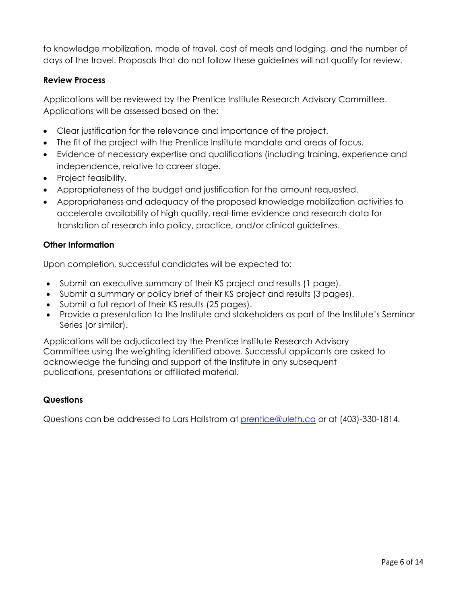to knowledge mobilization, mode of travel, cost of meals and lodging, and the number of days of the travel. Proposals that do not follow these guidelines will not qualify for review.

#### **Review Process**

Applications will be reviewed by the Prentice Institute Research Advisory Committee. Applications will be assessed based on the:

- Clear justification for the relevance and importance of the project.
- The fit of the project with the Prentice Institute mandate and areas of focus.
- Evidence of necessary expertise and qualifications (including training, experience and independence, relative to career stage.
- Project feasibility.
- Appropriateness of the budget and justification for the amount requested.
- Appropriateness and adequacy of the proposed knowledge mobilization activities to accelerate availability of high quality, real-time evidence and research data for translation of research into policy, practice, and/or clinical guidelines.

#### **Other Information**

Upon completion, successful candidates will be expected to:

- Submit an executive summary of their KS project and results (1 page).
- Submit a summary or policy brief of their KS project and results (3 pages).
- Submit a full report of their KS results (25 pages).
- Provide a presentation to the Institute and stakeholders as part of the Institute's Seminar Series (or similar).

Applications will be adjudicated by the Prentice Institute Research Advisory Committee using the weighting identified above. Successful applicants are asked to acknowledge the funding and support of the Institute in any subsequent publications, presentations or affiliated material.

#### **Questions**

Questions can be addressed to Lars Hallstrom at [prentice@uleth.ca](mailto:prentice@uleth.ca) or at (403)-330-1814.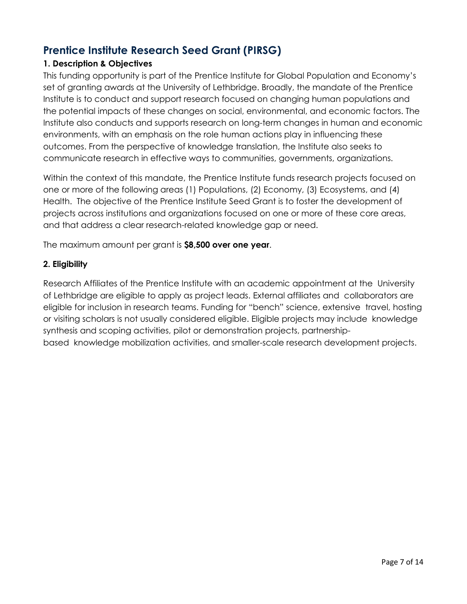## **Prentice Institute Research Seed Grant (PIRSG)**

#### **1. Description & Objectives**

This funding opportunity is part of the Prentice Institute for Global Population and Economy's set of granting awards at the University of Lethbridge. Broadly, the mandate of the Prentice Institute is to conduct and support research focused on changing human populations and the potential impacts of these changes on social, environmental, and economic factors. The Institute also conducts and supports research on long-term changes in human and economic environments, with an emphasis on the role human actions play in influencing these outcomes. From the perspective of knowledge translation, the Institute also seeks to communicate research in effective ways to communities, governments, organizations.

Within the context of this mandate, the Prentice Institute funds research projects focused on one or more of the following areas (1) Populations, (2) Economy, (3) Ecosystems, and (4) Health. The objective of the Prentice Institute Seed Grant is to foster the development of projects across institutions and organizations focused on one or more of these core areas, and that address a clear research-related knowledge gap or need.

The maximum amount per grant is **\$8,500 over one year**.

#### **2. Eligibility**

Research Affiliates of the Prentice Institute with an academic appointment at the University of Lethbridge are eligible to apply as project leads. External affiliates and collaborators are eligible for inclusion in research teams. Funding for "bench" science, extensive travel, hosting or visiting scholars is not usually considered eligible. Eligible projects may include knowledge synthesis and scoping activities, pilot or demonstration projects, partnershipbased knowledge mobilization activities, and smaller-scale research development projects.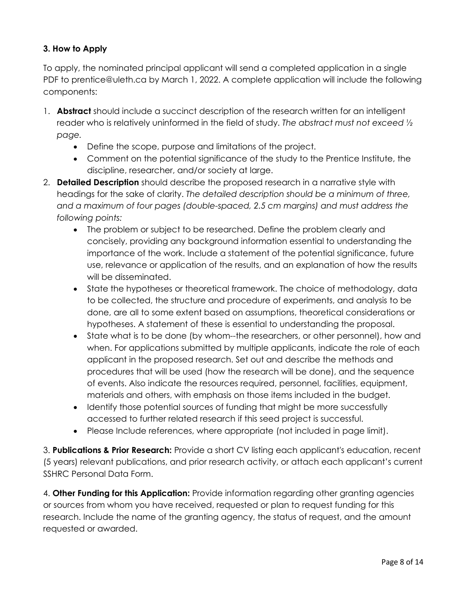#### **3. How to Apply**

To apply, the nominated principal applicant will send a completed application in a single PDF to [prentice@uleth.ca](mailto:prentice@uleth.ca) by March 1, 2022. A complete application will include the following components:

- 1. **Abstract** should include a succinct description of the research written for an intelligent reader who is relatively uninformed in the field of study. *The abstract must not exceed ½ page.*
	- Define the scope, purpose and limitations of the project.
	- Comment on the potential significance of the study to the Prentice Institute, the discipline, researcher, and/or society at large.
- 2. **Detailed Description** should describe the proposed research in a narrative style with headings for the sake of clarity. *The detailed description should be a minimum of three, and a maximum of four pages (double-spaced, 2.5 cm margins) and must address the following points:*
	- The problem or subject to be researched. Define the problem clearly and concisely, providing any background information essential to understanding the importance of the work. Include a statement of the potential significance, future use, relevance or application of the results, and an explanation of how the results will be disseminated.
	- State the hypotheses or theoretical framework. The choice of methodology, data to be collected, the structure and procedure of experiments, and analysis to be done, are all to some extent based on assumptions, theoretical considerations or hypotheses. A statement of these is essential to understanding the proposal.
	- State what is to be done (by whom--the researchers, or other personnel), how and when. For applications submitted by multiple applicants, indicate the role of each applicant in the proposed research. Set out and describe the methods and procedures that will be used (how the research will be done), and the sequence of events. Also indicate the resources required, personnel, facilities, equipment, materials and others, with emphasis on those items included in the budget.
	- Identify those potential sources of funding that might be more successfully accessed to further related research if this seed project is successful.
	- Please Include references, where appropriate (not included in page limit).

3. **Publications & Prior Research:** Provide a short CV listing each applicant's education, recent (5 years) relevant publications, and prior research activity, or attach each applicant's current SSHRC Personal Data Form.

4. **Other Funding for this Application:** Provide information regarding other granting agencies or sources from whom you have received, requested or plan to request funding for this research. Include the name of the granting agency, the status of request, and the amount requested or awarded.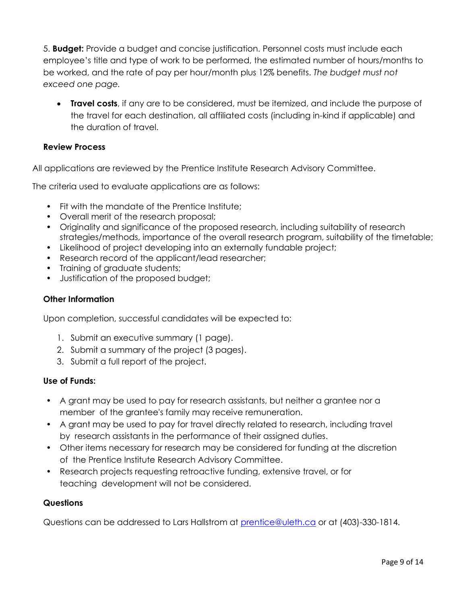5. **Budget:** Provide a budget and concise justification. Personnel costs must include each employee's title and type of work to be performed, the estimated number of hours/months to be worked, and the rate of pay per hour/month plus 12% benefits. *The budget must not exceed one page.*

• **Travel costs**, if any are to be considered, must be itemized, and include the purpose of the travel for each destination, all affiliated costs (including in-kind if applicable) and the duration of travel.

#### **Review Process**

All applications are reviewed by the Prentice Institute Research Advisory Committee.

The criteria used to evaluate applications are as follows:

- Fit with the mandate of the Prentice Institute;
- Overall merit of the research proposal;
- Originality and significance of the proposed research, including suitability of research strategies/methods, importance of the overall research program, suitability of the timetable;
- Likelihood of project developing into an externally fundable project;
- Research record of the applicant/lead researcher;
- Training of graduate students;
- Justification of the proposed budget;

#### **Other Information**

Upon completion, successful candidates will be expected to:

- 1. Submit an executive summary (1 page).
- 2. Submit a summary of the project (3 pages).
- 3. Submit a full report of the project.

#### **Use of Funds:**

- A grant may be used to pay for research assistants, but neither a grantee nor a member of the grantee's family may receive remuneration.
- A grant may be used to pay for travel directly related to research, including travel by research assistants in the performance of their assigned duties.
- Other items necessary for research may be considered for funding at the discretion of the Prentice Institute Research Advisory Committee.
- Research projects requesting retroactive funding, extensive travel, or for teaching development will not be considered.

#### **Questions**

Questions can be addressed to Lars Hallstrom at [prentice@uleth.ca](mailto:prentice@uleth.ca) or at (403)-330-1814.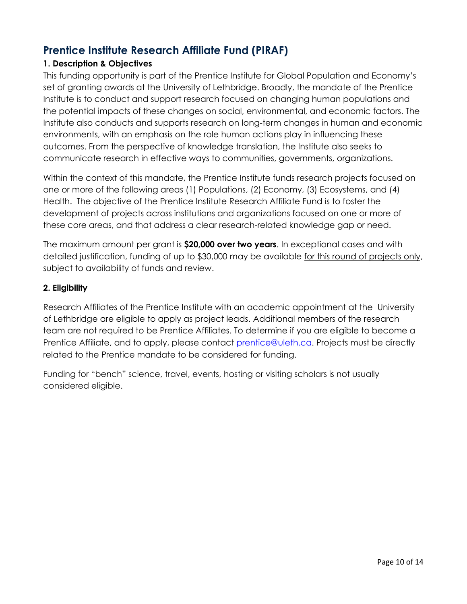## **Prentice Institute Research Affiliate Fund (PIRAF)**

#### **1. Description & Objectives**

This funding opportunity is part of the Prentice Institute for Global Population and Economy's set of granting awards at the University of Lethbridge. Broadly, the mandate of the Prentice Institute is to conduct and support research focused on changing human populations and the potential impacts of these changes on social, environmental, and economic factors. The Institute also conducts and supports research on long-term changes in human and economic environments, with an emphasis on the role human actions play in influencing these outcomes. From the perspective of knowledge translation, the Institute also seeks to communicate research in effective ways to communities, governments, organizations.

Within the context of this mandate, the Prentice Institute funds research projects focused on one or more of the following areas (1) Populations, (2) Economy, (3) Ecosystems, and (4) Health. The objective of the Prentice Institute Research Affiliate Fund is to foster the development of projects across institutions and organizations focused on one or more of these core areas, and that address a clear research-related knowledge gap or need.

The maximum amount per grant is **\$20,000 over two years**. In exceptional cases and with detailed justification, funding of up to \$30,000 may be available for this round of projects only, subject to availability of funds and review.

#### **2. Eligibility**

Research Affiliates of the Prentice Institute with an academic appointment at the University of Lethbridge are eligible to apply as project leads. Additional members of the research team are not required to be Prentice Affiliates. To determine if you are eligible to become a Prentice Affiliate, and to apply, please contact [prentice@uleth.ca.](mailto:prentice@uleth.ca) Projects must be directly related to the Prentice mandate to be considered for funding.

Funding for "bench" science, travel, events, hosting or visiting scholars is not usually considered eligible.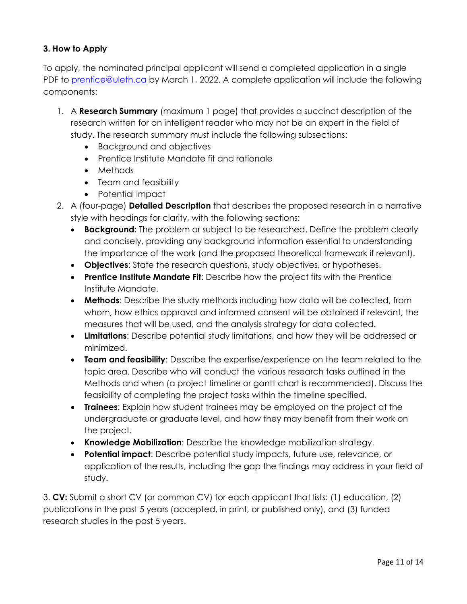#### **3. How to Apply**

To apply, the nominated principal applicant will send a completed application in a single PDF to [prentice@uleth.ca](mailto:prentice@uleth.ca) by March 1, 2022. A complete application will include the following components:

- 1. A **Research Summary** (maximum 1 page) that provides a succinct description of the research written for an intelligent reader who may not be an expert in the field of study. The research summary must include the following subsections:
	- Background and objectives
	- Prentice Institute Mandate fit and rationale
	- Methods
	- Team and feasibility
	- Potential impact
- 2. A (four-page) **Detailed Description** that describes the proposed research in a narrative style with headings for clarity, with the following sections:
	- **Background:** The problem or subject to be researched. Define the problem clearly and concisely, providing any background information essential to understanding the importance of the work (and the proposed theoretical framework if relevant).
	- **Objectives**: State the research questions, study objectives, or hypotheses.
	- **Prentice Institute Mandate Fit**: Describe how the project fits with the Prentice Institute Mandate.
	- **Methods**: Describe the study methods including how data will be collected, from whom, how ethics approval and informed consent will be obtained if relevant, the measures that will be used, and the analysis strategy for data collected.
	- **Limitations**: Describe potential study limitations, and how they will be addressed or minimized.
	- **Team and feasibility**: Describe the expertise/experience on the team related to the topic area. Describe who will conduct the various research tasks outlined in the Methods and when (a project timeline or gantt chart is recommended). Discuss the feasibility of completing the project tasks within the timeline specified.
	- **Trainees**: Explain how student trainees may be employed on the project at the undergraduate or graduate level, and how they may benefit from their work on the project.
	- **Knowledge Mobilization**: Describe the knowledge mobilization strategy.
	- **Potential impact**: Describe potential study impacts, future use, relevance, or application of the results, including the gap the findings may address in your field of study.

3. **CV:** Submit a short CV (or common CV) for each applicant that lists: (1) education, (2) publications in the past 5 years (accepted, in print, or published only), and (3) funded research studies in the past 5 years.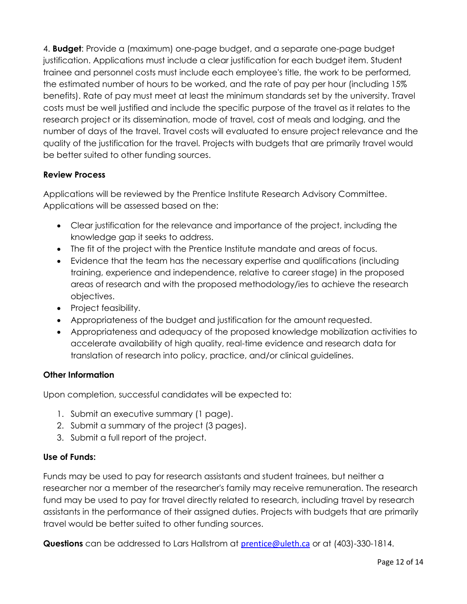4. **Budget**: Provide a (maximum) one-page budget, and a separate one-page budget justification. Applications must include a clear justification for each budget item. Student trainee and personnel costs must include each employee's title, the work to be performed, the estimated number of hours to be worked, and the rate of pay per hour (including 15% benefits). Rate of pay must meet at least the minimum standards set by the university. Travel costs must be well justified and include the specific purpose of the travel as it relates to the research project or its dissemination, mode of travel, cost of meals and lodging, and the number of days of the travel. Travel costs will evaluated to ensure project relevance and the quality of the justification for the travel. Projects with budgets that are primarily travel would be better suited to other funding sources.

#### **Review Process**

Applications will be reviewed by the Prentice Institute Research Advisory Committee. Applications will be assessed based on the:

- Clear justification for the relevance and importance of the project, including the knowledge gap it seeks to address.
- The fit of the project with the Prentice Institute mandate and areas of focus.
- Evidence that the team has the necessary expertise and qualifications (including training, experience and independence, relative to career stage) in the proposed areas of research and with the proposed methodology/ies to achieve the research objectives.
- Project feasibility.
- Appropriateness of the budget and justification for the amount requested.
- Appropriateness and adequacy of the proposed knowledge mobilization activities to accelerate availability of high quality, real-time evidence and research data for translation of research into policy, practice, and/or clinical guidelines.

#### **Other Information**

Upon completion, successful candidates will be expected to:

- 1. Submit an executive summary (1 page).
- 2. Submit a summary of the project (3 pages).
- 3. Submit a full report of the project.

#### **Use of Funds:**

Funds may be used to pay for research assistants and student trainees, but neither a researcher nor a member of the researcher's family may receive remuneration. The research fund may be used to pay for travel directly related to research, including travel by research assistants in the performance of their assigned duties. Projects with budgets that are primarily travel would be better suited to other funding sources.

**Questions** can be addressed to Lars Hallstrom at [prentice@uleth.ca](file:///C:/Users/lars.hallstrom/Downloads/prentice@uleth.ca) or at (403)-330-1814.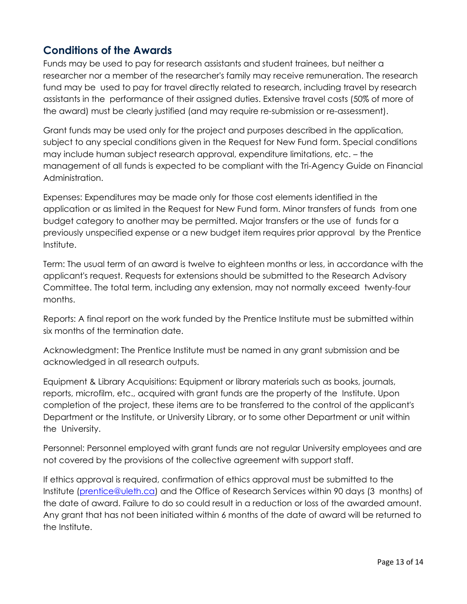## **Conditions of the Awards**

Funds may be used to pay for research assistants and student trainees, but neither a researcher nor a member of the researcher's family may receive remuneration. The research fund may be used to pay for travel directly related to research, including travel by research assistants in the performance of their assigned duties. Extensive travel costs (50% of more of the award) must be clearly justified (and may require re-submission or re-assessment).

Grant funds may be used only for the project and purposes described in the application, subject to any special conditions given in the Request for New Fund form. Special conditions may include human subject research approval, expenditure limitations, etc. – the management of all funds is expected to be compliant with the Tri-Agency Guide on Financial Administration.

Expenses: Expenditures may be made only for those cost elements identified in the application or as limited in the Request for New Fund form. Minor transfers of funds from one budget category to another may be permitted. Major transfers or the use of funds for a previously unspecified expense or a new budget item requires prior approval by the Prentice Institute.

Term: The usual term of an award is twelve to eighteen months or less, in accordance with the applicant's request. Requests for extensions should be submitted to the Research Advisory Committee. The total term, including any extension, may not normally exceed twenty-four months.

Reports: A final report on the work funded by the Prentice Institute must be submitted within six months of the termination date.

Acknowledgment: The Prentice Institute must be named in any grant submission and be acknowledged in all research outputs.

Equipment & Library Acquisitions: Equipment or library materials such as books, journals, reports, microfilm, etc., acquired with grant funds are the property of the Institute. Upon completion of the project, these items are to be transferred to the control of the applicant's Department or the Institute, or University Library, or to some other Department or unit within the University.

Personnel: Personnel employed with grant funds are not regular University employees and are not covered by the provisions of the collective agreement with support staff.

If ethics approval is required, confirmation of ethics approval must be submitted to the Institute [\(prentice@uleth.ca\)](file:///C:/Users/lars.hallstrom/Downloads/prentice@uleth.ca) and the Office of Research Services within 90 days (3 months) of the date of award. Failure to do so could result in a reduction or loss of the awarded amount. Any grant that has not been initiated within 6 months of the date of award will be returned to the Institute.